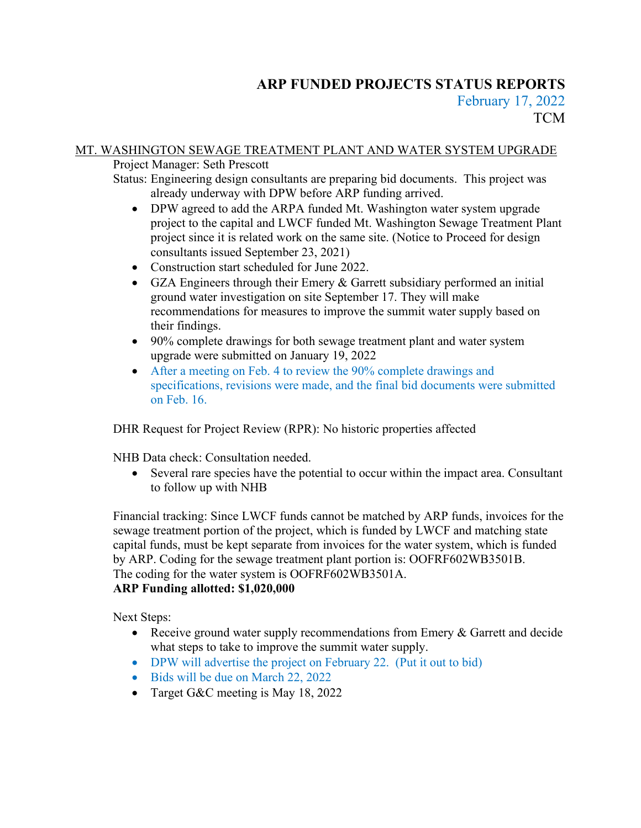# **ARP FUNDED PROJECTS STATUS REPORTS** February 17, 2022 **TCM**

# MT. WASHINGTON SEWAGE TREATMENT PLANT AND WATER SYSTEM UPGRADE

Project Manager: Seth Prescott

Status: Engineering design consultants are preparing bid documents. This project was already underway with DPW before ARP funding arrived.

- DPW agreed to add the ARPA funded Mt. Washington water system upgrade project to the capital and LWCF funded Mt. Washington Sewage Treatment Plant project since it is related work on the same site. (Notice to Proceed for design consultants issued September 23, 2021)
- Construction start scheduled for June 2022.
- GZA Engineers through their Emery & Garrett subsidiary performed an initial ground water investigation on site September 17. They will make recommendations for measures to improve the summit water supply based on their findings.
- 90% complete drawings for both sewage treatment plant and water system upgrade were submitted on January 19, 2022
- After a meeting on Feb. 4 to review the 90% complete drawings and specifications, revisions were made, and the final bid documents were submitted on Feb. 16.

DHR Request for Project Review (RPR): No historic properties affected

NHB Data check: Consultation needed.

Several rare species have the potential to occur within the impact area. Consultant to follow up with NHB

Financial tracking: Since LWCF funds cannot be matched by ARP funds, invoices for the sewage treatment portion of the project, which is funded by LWCF and matching state capital funds, must be kept separate from invoices for the water system, which is funded by ARP. Coding for the sewage treatment plant portion is: OOFRF602WB3501B. The coding for the water system is OOFRF602WB3501A. **ARP Funding allotted: \$1,020,000**

Next Steps:

- Receive ground water supply recommendations from Emery & Garrett and decide what steps to take to improve the summit water supply.
- DPW will advertise the project on February 22. (Put it out to bid)
- Bids will be due on March 22, 2022
- Target G&C meeting is May 18, 2022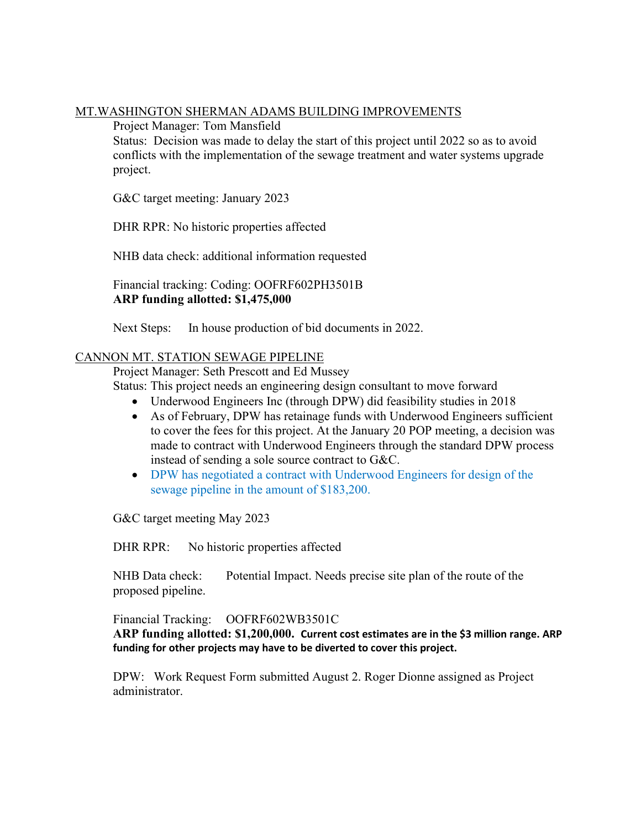#### MT.WASHINGTON SHERMAN ADAMS BUILDING IMPROVEMENTS

Project Manager: Tom Mansfield

Status: Decision was made to delay the start of this project until 2022 so as to avoid conflicts with the implementation of the sewage treatment and water systems upgrade project.

G&C target meeting: January 2023

DHR RPR: No historic properties affected

NHB data check: additional information requested

Financial tracking: Coding: OOFRF602PH3501B **ARP funding allotted: \$1,475,000**

Next Steps: In house production of bid documents in 2022.

#### CANNON MT. STATION SEWAGE PIPELINE

Project Manager: Seth Prescott and Ed Mussey

Status: This project needs an engineering design consultant to move forward

- Underwood Engineers Inc (through DPW) did feasibility studies in 2018
- As of February, DPW has retainage funds with Underwood Engineers sufficient to cover the fees for this project. At the January 20 POP meeting, a decision was made to contract with Underwood Engineers through the standard DPW process instead of sending a sole source contract to G&C.
- DPW has negotiated a contract with Underwood Engineers for design of the sewage pipeline in the amount of \$183,200.

G&C target meeting May 2023

DHR RPR: No historic properties affected

NHB Data check: Potential Impact. Needs precise site plan of the route of the proposed pipeline.

Financial Tracking: OOFRF602WB3501C

**ARP funding allotted: \$1,200,000. Current cost estimates are in the \$3 million range. ARP funding for other projects may have to be diverted to cover this project.**

DPW: Work Request Form submitted August 2. Roger Dionne assigned as Project administrator.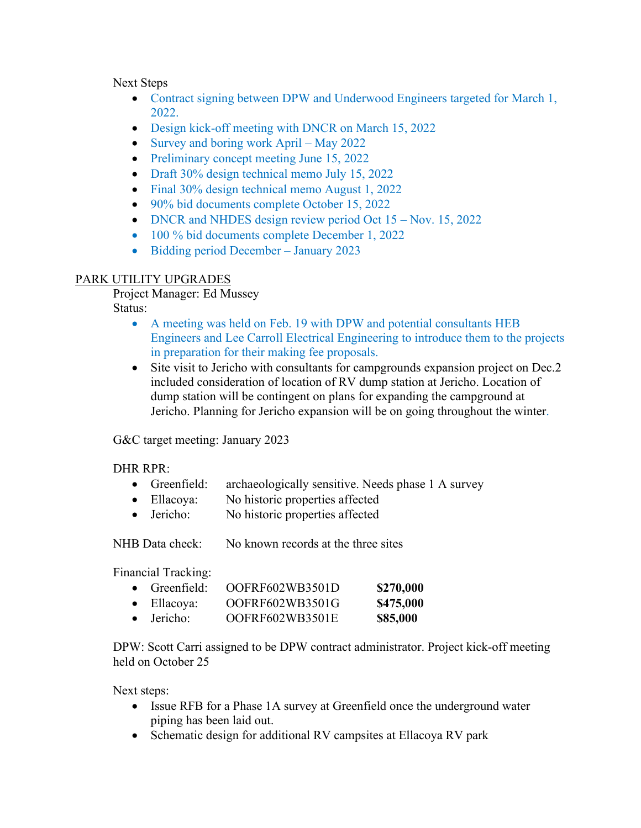Next Steps

- Contract signing between DPW and Underwood Engineers targeted for March 1, 2022.
- Design kick-off meeting with DNCR on March 15, 2022
- Survey and boring work April May 2022
- Preliminary concept meeting June 15, 2022
- Draft 30% design technical memo July 15, 2022
- Final 30% design technical memo August 1, 2022
- 90% bid documents complete October 15, 2022
- DNCR and NHDES design review period Oct 15 Nov. 15, 2022
- 100 % bid documents complete December 1, 2022
- Bidding period December January 2023

# PARK UTILITY UPGRADES

Project Manager: Ed Mussey Status:

- A meeting was held on Feb. 19 with DPW and potential consultants HEB Engineers and Lee Carroll Electrical Engineering to introduce them to the projects in preparation for their making fee proposals.
- Site visit to Jericho with consultants for campgrounds expansion project on Dec.2 included consideration of location of RV dump station at Jericho. Location of dump station will be contingent on plans for expanding the campground at Jericho. Planning for Jericho expansion will be on going throughout the winter.

G&C target meeting: January 2023

# DHR RPR:

- Greenfield: archaeologically sensitive. Needs phase 1 A survey
- Ellacoya: No historic properties affected
- Jericho: No historic properties affected

NHB Data check: No known records at the three sites

Financial Tracking:

| $\bullet$ Greenfield: | OOFRF602WB3501D | \$270,000 |
|-----------------------|-----------------|-----------|
| $\bullet$ Ellacoya:   | OOFRF602WB3501G | \$475,000 |
| $\bullet$ Jericho:    | OOFRF602WB3501E | \$85,000  |

DPW: Scott Carri assigned to be DPW contract administrator. Project kick-off meeting held on October 25

Next steps:

- Issue RFB for a Phase 1A survey at Greenfield once the underground water piping has been laid out.
- Schematic design for additional RV campsites at Ellacoya RV park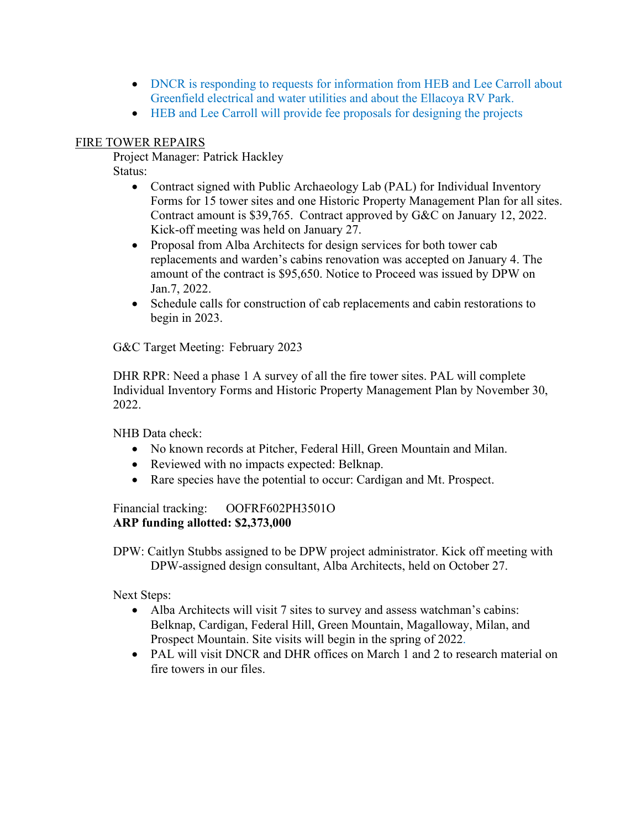- DNCR is responding to requests for information from HEB and Lee Carroll about Greenfield electrical and water utilities and about the Ellacoya RV Park.
- HEB and Lee Carroll will provide fee proposals for designing the projects

#### FIRE TOWER REPAIRS

Project Manager: Patrick Hackley

Status:

- Contract signed with Public Archaeology Lab (PAL) for Individual Inventory Forms for 15 tower sites and one Historic Property Management Plan for all sites. Contract amount is \$39,765. Contract approved by G&C on January 12, 2022. Kick-off meeting was held on January 27.
- Proposal from Alba Architects for design services for both tower cab replacements and warden's cabins renovation was accepted on January 4. The amount of the contract is \$95,650. Notice to Proceed was issued by DPW on Jan.7, 2022.
- Schedule calls for construction of cab replacements and cabin restorations to begin in 2023.

G&C Target Meeting: February 2023

DHR RPR: Need a phase 1 A survey of all the fire tower sites. PAL will complete Individual Inventory Forms and Historic Property Management Plan by November 30, 2022.

NHB Data check:

- No known records at Pitcher, Federal Hill, Green Mountain and Milan.
- Reviewed with no impacts expected: Belknap.
- Rare species have the potential to occur: Cardigan and Mt. Prospect.

Financial tracking: OOFRF602PH3501O **ARP funding allotted: \$2,373,000**

DPW: Caitlyn Stubbs assigned to be DPW project administrator. Kick off meeting with DPW-assigned design consultant, Alba Architects, held on October 27.

Next Steps:

- Alba Architects will visit 7 sites to survey and assess watchman's cabins: Belknap, Cardigan, Federal Hill, Green Mountain, Magalloway, Milan, and Prospect Mountain. Site visits will begin in the spring of 2022.
- PAL will visit DNCR and DHR offices on March 1 and 2 to research material on fire towers in our files.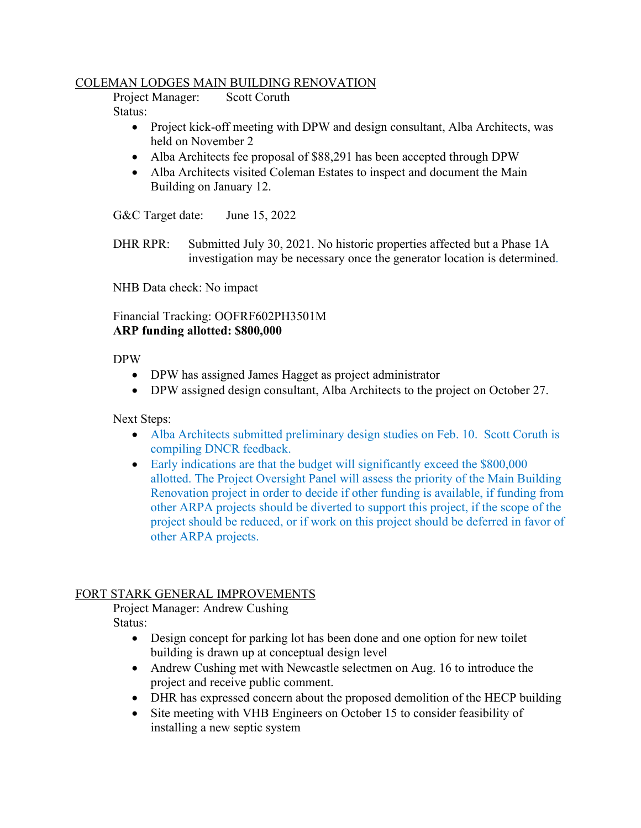#### COLEMAN LODGES MAIN BUILDING RENOVATION

Project Manager: Scott Coruth Status:

- Project kick-off meeting with DPW and design consultant, Alba Architects, was held on November 2
- Alba Architects fee proposal of \$88,291 has been accepted through DPW
- Alba Architects visited Coleman Estates to inspect and document the Main Building on January 12.

G&C Target date: June 15, 2022

DHR RPR: Submitted July 30, 2021. No historic properties affected but a Phase 1A investigation may be necessary once the generator location is determined.

NHB Data check: No impact

Financial Tracking: OOFRF602PH3501M **ARP funding allotted: \$800,000**

DPW

- DPW has assigned James Hagget as project administrator
- DPW assigned design consultant, Alba Architects to the project on October 27.

Next Steps:

- Alba Architects submitted preliminary design studies on Feb. 10. Scott Coruth is compiling DNCR feedback.
- Early indications are that the budget will significantly exceed the \$800,000 allotted. The Project Oversight Panel will assess the priority of the Main Building Renovation project in order to decide if other funding is available, if funding from other ARPA projects should be diverted to support this project, if the scope of the project should be reduced, or if work on this project should be deferred in favor of other ARPA projects.

# FORT STARK GENERAL IMPROVEMENTS

Project Manager: Andrew Cushing

Status:

- Design concept for parking lot has been done and one option for new toilet building is drawn up at conceptual design level
- Andrew Cushing met with Newcastle selectmen on Aug. 16 to introduce the project and receive public comment.
- DHR has expressed concern about the proposed demolition of the HECP building
- Site meeting with VHB Engineers on October 15 to consider feasibility of installing a new septic system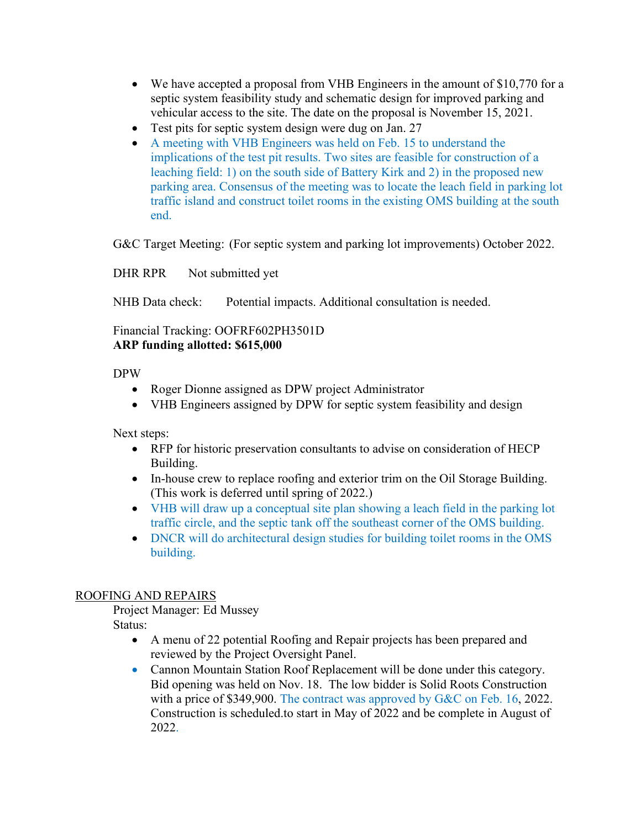- We have accepted a proposal from VHB Engineers in the amount of \$10,770 for a septic system feasibility study and schematic design for improved parking and vehicular access to the site. The date on the proposal is November 15, 2021.
- Test pits for septic system design were dug on Jan. 27
- A meeting with VHB Engineers was held on Feb. 15 to understand the implications of the test pit results. Two sites are feasible for construction of a leaching field: 1) on the south side of Battery Kirk and 2) in the proposed new parking area. Consensus of the meeting was to locate the leach field in parking lot traffic island and construct toilet rooms in the existing OMS building at the south end.

G&C Target Meeting: (For septic system and parking lot improvements) October 2022.

DHR RPR Not submitted yet

NHB Data check: Potential impacts. Additional consultation is needed.

Financial Tracking: OOFRF602PH3501D **ARP funding allotted: \$615,000**

DPW

- Roger Dionne assigned as DPW project Administrator
- VHB Engineers assigned by DPW for septic system feasibility and design

Next steps:

- RFP for historic preservation consultants to advise on consideration of HECP Building.
- In-house crew to replace roofing and exterior trim on the Oil Storage Building. (This work is deferred until spring of 2022.)
- VHB will draw up a conceptual site plan showing a leach field in the parking lot traffic circle, and the septic tank off the southeast corner of the OMS building.
- DNCR will do architectural design studies for building toilet rooms in the OMS building.

# ROOFING AND REPAIRS

Project Manager: Ed Mussey Status:

- A menu of 22 potential Roofing and Repair projects has been prepared and reviewed by the Project Oversight Panel.
- Cannon Mountain Station Roof Replacement will be done under this category. Bid opening was held on Nov. 18. The low bidder is Solid Roots Construction with a price of \$349,900. The contract was approved by G&C on Feb. 16, 2022. Construction is scheduled.to start in May of 2022 and be complete in August of 2022.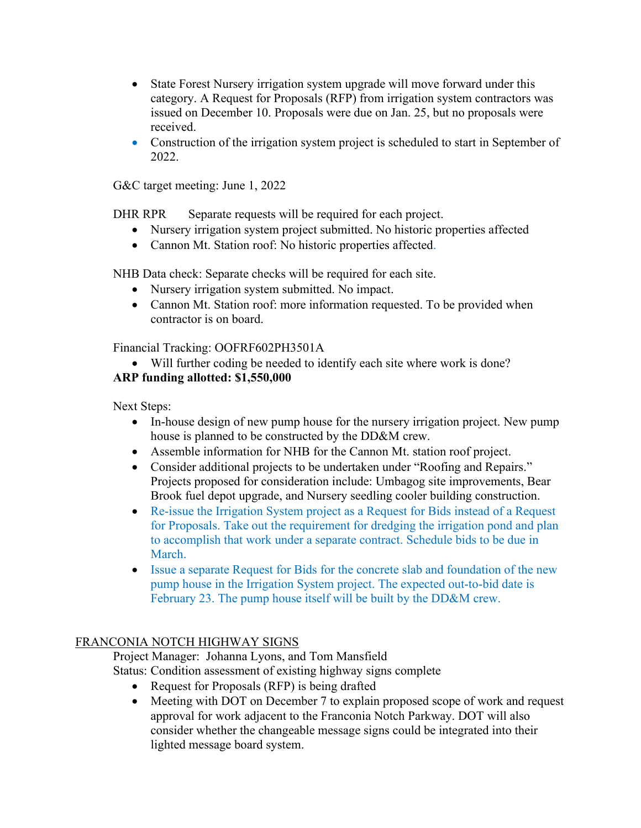- State Forest Nursery irrigation system upgrade will move forward under this category. A Request for Proposals (RFP) from irrigation system contractors was issued on December 10. Proposals were due on Jan. 25, but no proposals were received.
- Construction of the irrigation system project is scheduled to start in September of 2022.

G&C target meeting: June 1, 2022

DHR RPR Separate requests will be required for each project.

- Nursery irrigation system project submitted. No historic properties affected
- Cannon Mt. Station roof: No historic properties affected.

NHB Data check: Separate checks will be required for each site.

- Nursery irrigation system submitted. No impact.
- Cannon Mt. Station roof: more information requested. To be provided when contractor is on board.

Financial Tracking: OOFRF602PH3501A

• Will further coding be needed to identify each site where work is done?

# **ARP funding allotted: \$1,550,000**

Next Steps:

- In-house design of new pump house for the nursery irrigation project. New pump house is planned to be constructed by the DD&M crew.
- Assemble information for NHB for the Cannon Mt. station roof project.
- Consider additional projects to be undertaken under "Roofing and Repairs." Projects proposed for consideration include: Umbagog site improvements, Bear Brook fuel depot upgrade, and Nursery seedling cooler building construction.
- Re-issue the Irrigation System project as a Request for Bids instead of a Request for Proposals. Take out the requirement for dredging the irrigation pond and plan to accomplish that work under a separate contract. Schedule bids to be due in March.
- Issue a separate Request for Bids for the concrete slab and foundation of the new pump house in the Irrigation System project. The expected out-to-bid date is February 23. The pump house itself will be built by the DD&M crew.

# FRANCONIA NOTCH HIGHWAY SIGNS

Project Manager: Johanna Lyons, and Tom Mansfield

- Status: Condition assessment of existing highway signs complete
	- Request for Proposals (RFP) is being drafted
	- Meeting with DOT on December 7 to explain proposed scope of work and request approval for work adjacent to the Franconia Notch Parkway. DOT will also consider whether the changeable message signs could be integrated into their lighted message board system.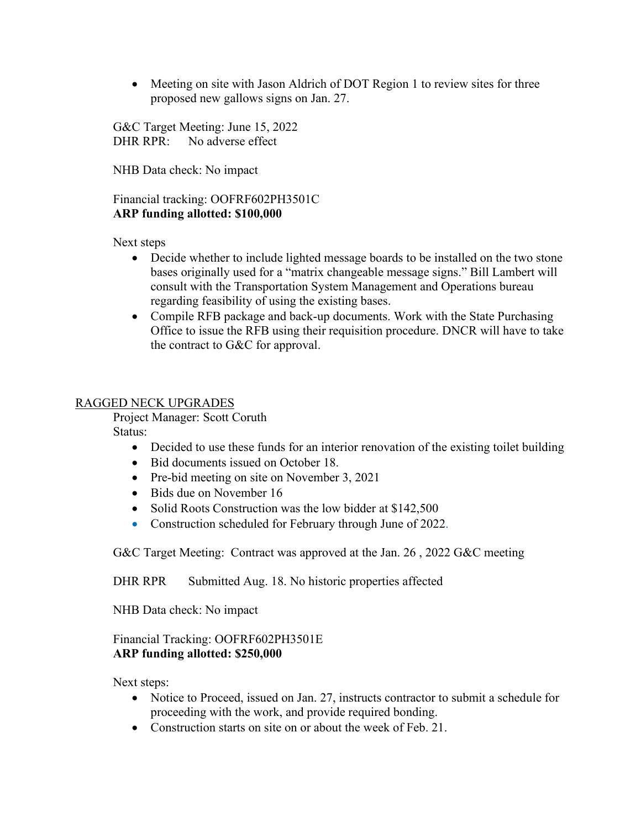• Meeting on site with Jason Aldrich of DOT Region 1 to review sites for three proposed new gallows signs on Jan. 27.

G&C Target Meeting: June 15, 2022 DHR RPR: No adverse effect

NHB Data check: No impact

#### Financial tracking: OOFRF602PH3501C **ARP funding allotted: \$100,000**

Next steps

- Decide whether to include lighted message boards to be installed on the two stone bases originally used for a "matrix changeable message signs." Bill Lambert will consult with the Transportation System Management and Operations bureau regarding feasibility of using the existing bases.
- Compile RFB package and back-up documents. Work with the State Purchasing Office to issue the RFB using their requisition procedure. DNCR will have to take the contract to G&C for approval.

#### RAGGED NECK UPGRADES

Project Manager: Scott Coruth

Status:

- Decided to use these funds for an interior renovation of the existing toilet building
- Bid documents issued on October 18.
- Pre-bid meeting on site on November 3, 2021
- Bids due on November 16
- Solid Roots Construction was the low bidder at \$142,500
- Construction scheduled for February through June of 2022.

G&C Target Meeting: Contract was approved at the Jan. 26 , 2022 G&C meeting

DHR RPR Submitted Aug. 18. No historic properties affected

NHB Data check: No impact

#### Financial Tracking: OOFRF602PH3501E **ARP funding allotted: \$250,000**

Next steps:

- Notice to Proceed, issued on Jan. 27, instructs contractor to submit a schedule for proceeding with the work, and provide required bonding.
- Construction starts on site on or about the week of Feb. 21.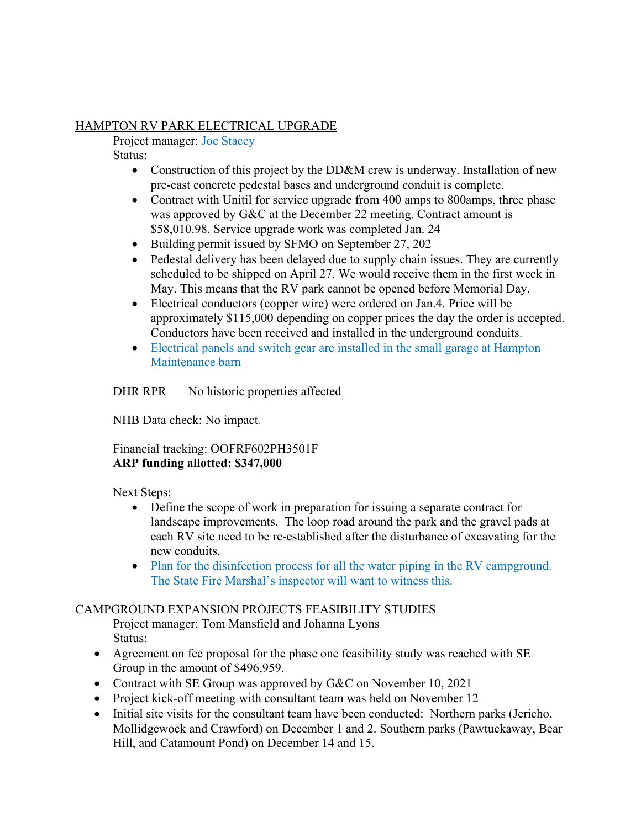### HAMPTON RV PARK ELECTRICAL UPGRADE

Project manager: Joe Stacey

Status:

- Construction of this project by the DD&M crew is underway. Installation of new pre-cast concrete pedestal bases and underground conduit is complete.
- Contract with Unitil for service upgrade from 400 amps to 800 amps, three phase was approved by G&C at the December 22 meeting. Contract amount is \$58,010.98. Service upgrade work was completed Jan. 24
- Building permit issued by SFMO on September 27, 202
- Pedestal delivery has been delayed due to supply chain issues. They are currently scheduled to be shipped on April 27. We would receive them in the first week in May. This means that the RV park cannot be opened before Memorial Day.
- Electrical conductors (copper wire) were ordered on Jan.4. Price will be approximately \$115,000 depending on copper prices the day the order is accepted. Conductors have been received and installed in the underground conduits.
- Electrical panels and switch gear are installed in the small garage at Hampton Maintenance barn

DHR RPR No historic properties affected

NHB Data check: No impact.

Financial tracking: OOFRF602PH3501F **ARP funding allotted: \$347,000**

Next Steps:

- Define the scope of work in preparation for issuing a separate contract for landscape improvements. The loop road around the park and the gravel pads at each RV site need to be re-established after the disturbance of excavating for the new conduits.
- Plan for the disinfection process for all the water piping in the RV campground. The State Fire Marshal's inspector will want to witness this.

# CAMPGROUND EXPANSION PROJECTS FEASIBILITY STUDIES

Project manager: Tom Mansfield and Johanna Lyons Status:

- Agreement on fee proposal for the phase one feasibility study was reached with SE Group in the amount of \$496,959.
- Contract with SE Group was approved by G&C on November 10, 2021
- Project kick-off meeting with consultant team was held on November 12
- Initial site visits for the consultant team have been conducted: Northern parks (Jericho, Mollidgewock and Crawford) on December 1 and 2. Southern parks (Pawtuckaway, Bear Hill, and Catamount Pond) on December 14 and 15.